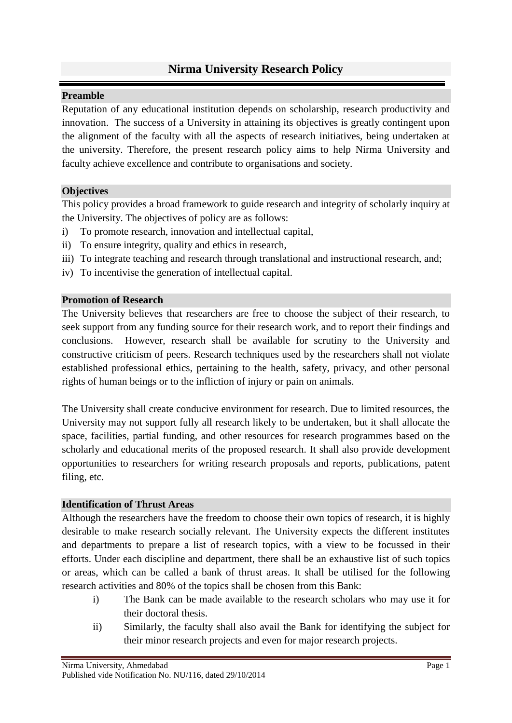# **Nirma University Research Policy**

### **Preamble**

Reputation of any educational institution depends on scholarship, research productivity and innovation. The success of a University in attaining its objectives is greatly contingent upon the alignment of the faculty with all the aspects of research initiatives, being undertaken at the university. Therefore, the present research policy aims to help Nirma University and faculty achieve excellence and contribute to organisations and society.

### **Objectives**

This policy provides a broad framework to guide research and integrity of scholarly inquiry at the University. The objectives of policy are as follows:

- i) To promote research, innovation and intellectual capital,
- ii) To ensure integrity, quality and ethics in research,
- iii) To integrate teaching and research through translational and instructional research, and;
- iv) To incentivise the generation of intellectual capital.

#### **Promotion of Research**

The University believes that researchers are free to choose the subject of their research, to seek support from any funding source for their research work, and to report their findings and conclusions. However, research shall be available for scrutiny to the University and constructive criticism of peers. Research techniques used by the researchers shall not violate established professional ethics, pertaining to the health, safety, privacy, and other personal rights of human beings or to the infliction of injury or pain on animals.

The University shall create conducive environment for research. Due to limited resources, the University may not support fully all research likely to be undertaken, but it shall allocate the space, facilities, partial funding, and other resources for research programmes based on the scholarly and educational merits of the proposed research. It shall also provide development opportunities to researchers for writing research proposals and reports, publications, patent filing, etc.

### **Identification of Thrust Areas**

Although the researchers have the freedom to choose their own topics of research, it is highly desirable to make research socially relevant. The University expects the different institutes and departments to prepare a list of research topics, with a view to be focussed in their efforts. Under each discipline and department, there shall be an exhaustive list of such topics or areas, which can be called a bank of thrust areas. It shall be utilised for the following research activities and 80% of the topics shall be chosen from this Bank:

- i) The Bank can be made available to the research scholars who may use it for their doctoral thesis.
- ii) Similarly, the faculty shall also avail the Bank for identifying the subject for their minor research projects and even for major research projects.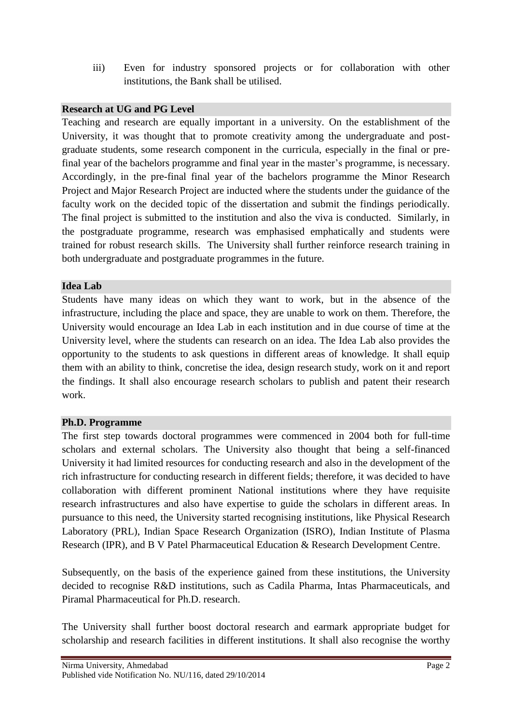iii) Even for industry sponsored projects or for collaboration with other institutions, the Bank shall be utilised.

## **Research at UG and PG Level**

Teaching and research are equally important in a university. On the establishment of the University, it was thought that to promote creativity among the undergraduate and postgraduate students, some research component in the curricula, especially in the final or prefinal year of the bachelors programme and final year in the master's programme, is necessary. Accordingly, in the pre-final final year of the bachelors programme the Minor Research Project and Major Research Project are inducted where the students under the guidance of the faculty work on the decided topic of the dissertation and submit the findings periodically. The final project is submitted to the institution and also the viva is conducted. Similarly, in the postgraduate programme, research was emphasised emphatically and students were trained for robust research skills. The University shall further reinforce research training in both undergraduate and postgraduate programmes in the future.

#### **Idea Lab**

Students have many ideas on which they want to work, but in the absence of the infrastructure, including the place and space, they are unable to work on them. Therefore, the University would encourage an Idea Lab in each institution and in due course of time at the University level, where the students can research on an idea. The Idea Lab also provides the opportunity to the students to ask questions in different areas of knowledge. It shall equip them with an ability to think, concretise the idea, design research study, work on it and report the findings. It shall also encourage research scholars to publish and patent their research work.

### **Ph.D. Programme**

The first step towards doctoral programmes were commenced in 2004 both for full-time scholars and external scholars. The University also thought that being a self-financed University it had limited resources for conducting research and also in the development of the rich infrastructure for conducting research in different fields; therefore, it was decided to have collaboration with different prominent National institutions where they have requisite research infrastructures and also have expertise to guide the scholars in different areas. In pursuance to this need, the University started recognising institutions, like Physical Research Laboratory (PRL), Indian Space Research Organization (ISRO), Indian Institute of Plasma Research (IPR), and B V Patel Pharmaceutical Education & Research Development Centre.

Subsequently, on the basis of the experience gained from these institutions, the University decided to recognise R&D institutions, such as Cadila Pharma, Intas Pharmaceuticals, and Piramal Pharmaceutical for Ph.D. research.

The University shall further boost doctoral research and earmark appropriate budget for scholarship and research facilities in different institutions. It shall also recognise the worthy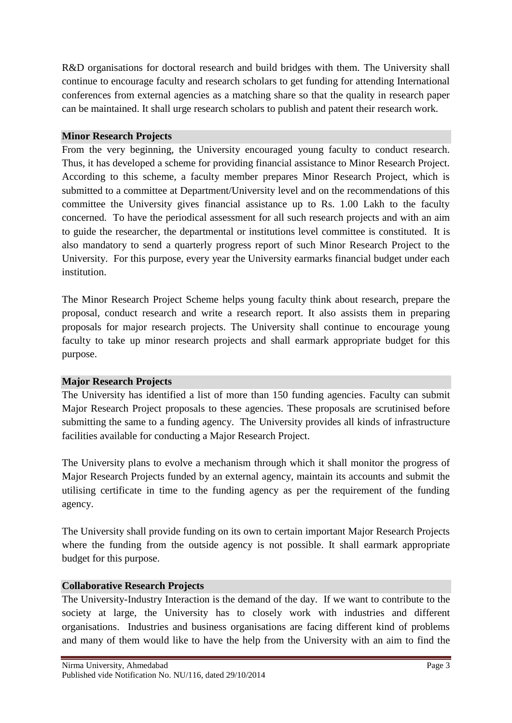R&D organisations for doctoral research and build bridges with them. The University shall continue to encourage faculty and research scholars to get funding for attending International conferences from external agencies as a matching share so that the quality in research paper can be maintained. It shall urge research scholars to publish and patent their research work.

#### **Minor Research Projects**

From the very beginning, the University encouraged young faculty to conduct research. Thus, it has developed a scheme for providing financial assistance to Minor Research Project. According to this scheme, a faculty member prepares Minor Research Project, which is submitted to a committee at Department/University level and on the recommendations of this committee the University gives financial assistance up to Rs. 1.00 Lakh to the faculty concerned. To have the periodical assessment for all such research projects and with an aim to guide the researcher, the departmental or institutions level committee is constituted. It is also mandatory to send a quarterly progress report of such Minor Research Project to the University. For this purpose, every year the University earmarks financial budget under each institution.

The Minor Research Project Scheme helps young faculty think about research, prepare the proposal, conduct research and write a research report. It also assists them in preparing proposals for major research projects. The University shall continue to encourage young faculty to take up minor research projects and shall earmark appropriate budget for this purpose.

### **Major Research Projects**

The University has identified a list of more than 150 funding agencies. Faculty can submit Major Research Project proposals to these agencies. These proposals are scrutinised before submitting the same to a funding agency. The University provides all kinds of infrastructure facilities available for conducting a Major Research Project.

The University plans to evolve a mechanism through which it shall monitor the progress of Major Research Projects funded by an external agency, maintain its accounts and submit the utilising certificate in time to the funding agency as per the requirement of the funding agency.

The University shall provide funding on its own to certain important Major Research Projects where the funding from the outside agency is not possible. It shall earmark appropriate budget for this purpose.

#### **Collaborative Research Projects**

The University-Industry Interaction is the demand of the day. If we want to contribute to the society at large, the University has to closely work with industries and different organisations. Industries and business organisations are facing different kind of problems and many of them would like to have the help from the University with an aim to find the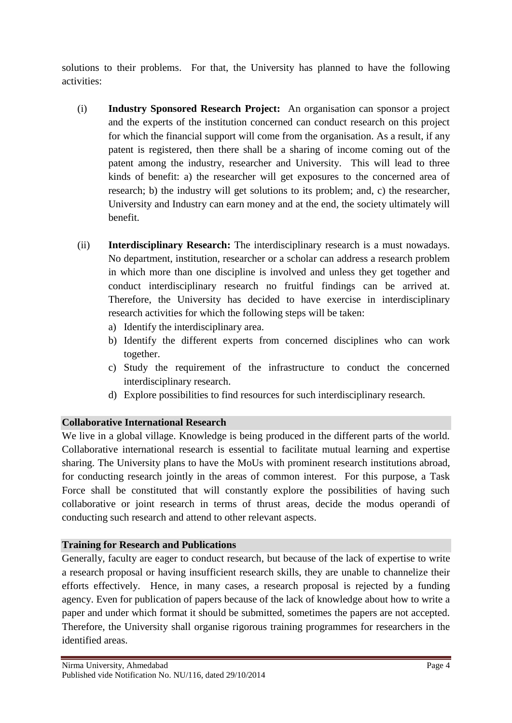solutions to their problems. For that, the University has planned to have the following activities:

- (i) **Industry Sponsored Research Project:** An organisation can sponsor a project and the experts of the institution concerned can conduct research on this project for which the financial support will come from the organisation. As a result, if any patent is registered, then there shall be a sharing of income coming out of the patent among the industry, researcher and University. This will lead to three kinds of benefit: a) the researcher will get exposures to the concerned area of research; b) the industry will get solutions to its problem; and, c) the researcher, University and Industry can earn money and at the end, the society ultimately will benefit.
- (ii) **Interdisciplinary Research:** The interdisciplinary research is a must nowadays. No department, institution, researcher or a scholar can address a research problem in which more than one discipline is involved and unless they get together and conduct interdisciplinary research no fruitful findings can be arrived at. Therefore, the University has decided to have exercise in interdisciplinary research activities for which the following steps will be taken:
	- a) Identify the interdisciplinary area.
	- b) Identify the different experts from concerned disciplines who can work together.
	- c) Study the requirement of the infrastructure to conduct the concerned interdisciplinary research.
	- d) Explore possibilities to find resources for such interdisciplinary research.

### **Collaborative International Research**

We live in a global village. Knowledge is being produced in the different parts of the world. Collaborative international research is essential to facilitate mutual learning and expertise sharing. The University plans to have the MoUs with prominent research institutions abroad, for conducting research jointly in the areas of common interest. For this purpose, a Task Force shall be constituted that will constantly explore the possibilities of having such collaborative or joint research in terms of thrust areas, decide the modus operandi of conducting such research and attend to other relevant aspects.

### **Training for Research and Publications**

Generally, faculty are eager to conduct research, but because of the lack of expertise to write a research proposal or having insufficient research skills, they are unable to channelize their efforts effectively. Hence, in many cases, a research proposal is rejected by a funding agency. Even for publication of papers because of the lack of knowledge about how to write a paper and under which format it should be submitted, sometimes the papers are not accepted. Therefore, the University shall organise rigorous training programmes for researchers in the identified areas.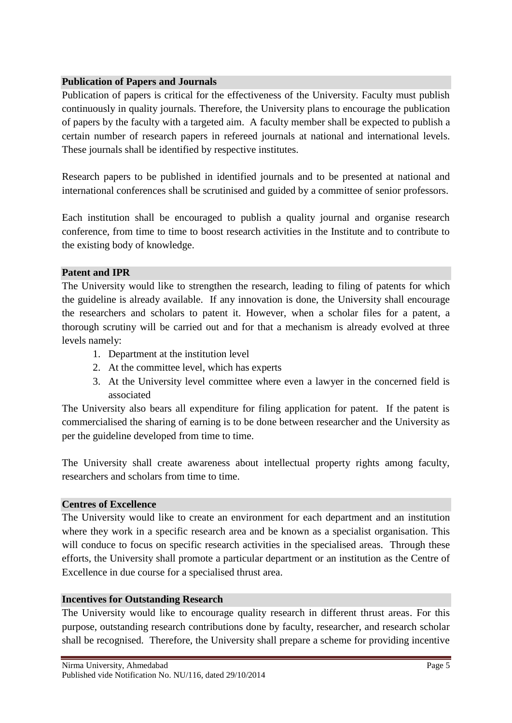## **Publication of Papers and Journals**

Publication of papers is critical for the effectiveness of the University. Faculty must publish continuously in quality journals. Therefore, the University plans to encourage the publication of papers by the faculty with a targeted aim. A faculty member shall be expected to publish a certain number of research papers in refereed journals at national and international levels. These journals shall be identified by respective institutes.

Research papers to be published in identified journals and to be presented at national and international conferences shall be scrutinised and guided by a committee of senior professors.

Each institution shall be encouraged to publish a quality journal and organise research conference, from time to time to boost research activities in the Institute and to contribute to the existing body of knowledge.

# **Patent and IPR**

The University would like to strengthen the research, leading to filing of patents for which the guideline is already available. If any innovation is done, the University shall encourage the researchers and scholars to patent it. However, when a scholar files for a patent, a thorough scrutiny will be carried out and for that a mechanism is already evolved at three levels namely:

- 1. Department at the institution level
- 2. At the committee level, which has experts
- 3. At the University level committee where even a lawyer in the concerned field is associated

The University also bears all expenditure for filing application for patent. If the patent is commercialised the sharing of earning is to be done between researcher and the University as per the guideline developed from time to time.

The University shall create awareness about intellectual property rights among faculty, researchers and scholars from time to time.

### **Centres of Excellence**

The University would like to create an environment for each department and an institution where they work in a specific research area and be known as a specialist organisation. This will conduce to focus on specific research activities in the specialised areas. Through these efforts, the University shall promote a particular department or an institution as the Centre of Excellence in due course for a specialised thrust area.

### **Incentives for Outstanding Research**

The University would like to encourage quality research in different thrust areas. For this purpose, outstanding research contributions done by faculty, researcher, and research scholar shall be recognised. Therefore, the University shall prepare a scheme for providing incentive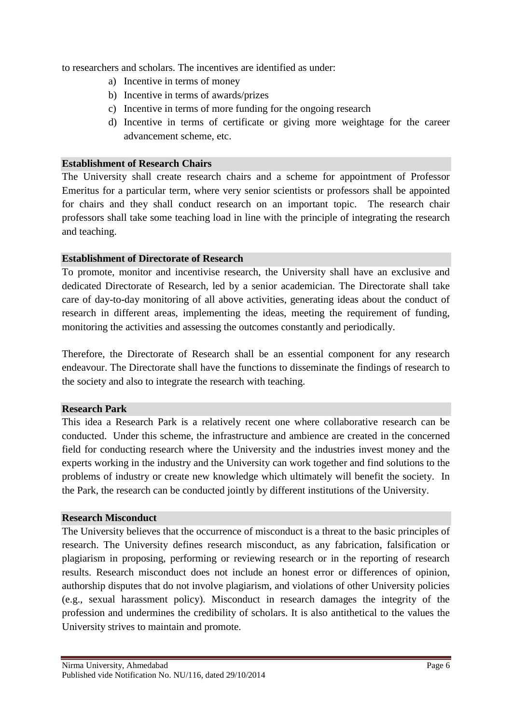to researchers and scholars. The incentives are identified as under:

- a) Incentive in terms of money
- b) Incentive in terms of awards/prizes
- c) Incentive in terms of more funding for the ongoing research
- d) Incentive in terms of certificate or giving more weightage for the career advancement scheme, etc.

#### **Establishment of Research Chairs**

The University shall create research chairs and a scheme for appointment of Professor Emeritus for a particular term, where very senior scientists or professors shall be appointed for chairs and they shall conduct research on an important topic. The research chair professors shall take some teaching load in line with the principle of integrating the research and teaching.

#### **Establishment of Directorate of Research**

To promote, monitor and incentivise research, the University shall have an exclusive and dedicated Directorate of Research, led by a senior academician. The Directorate shall take care of day-to-day monitoring of all above activities, generating ideas about the conduct of research in different areas, implementing the ideas, meeting the requirement of funding, monitoring the activities and assessing the outcomes constantly and periodically.

Therefore, the Directorate of Research shall be an essential component for any research endeavour. The Directorate shall have the functions to disseminate the findings of research to the society and also to integrate the research with teaching.

#### **Research Park**

This idea a Research Park is a relatively recent one where collaborative research can be conducted. Under this scheme, the infrastructure and ambience are created in the concerned field for conducting research where the University and the industries invest money and the experts working in the industry and the University can work together and find solutions to the problems of industry or create new knowledge which ultimately will benefit the society. In the Park, the research can be conducted jointly by different institutions of the University.

#### **Research Misconduct**

The University believes that the occurrence of misconduct is a threat to the basic principles of research. The University defines research misconduct, as any fabrication, falsification or plagiarism in proposing, performing or reviewing research or in the reporting of research results. Research misconduct does not include an honest error or differences of opinion, authorship disputes that do not involve plagiarism, and violations of other University policies (e.g., sexual harassment policy). Misconduct in research damages the integrity of the profession and undermines the credibility of scholars. It is also antithetical to the values the University strives to maintain and promote.